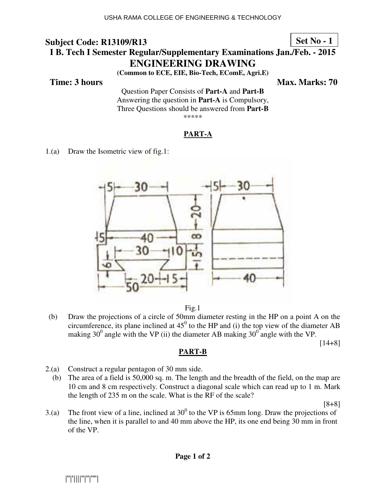**Set No - 1**

# **I B. Tech I Semester Regular/Supplementary Examinations Jan./Feb. - 2015 ENGINEERING DRAWING**

**(Common to ECE, EIE, Bio-Tech, EComE, Agri.E)** 

**Time: 3 hours** Max. Marks: 70

Question Paper Consists of **Part-A** and **Part-B** Answering the question in **Part-A** is Compulsory, Three Questions should be answered from **Part-B** \*\*\*\*\*

## **PART-A**

1.(a) Draw the Isometric view of fig.1:





(b) Draw the projections of a circle of 50mm diameter resting in the HP on a point A on the circumference, its plane inclined at  $45^{\circ}$  to the HP and (i) the top view of the diameter AB making 30<sup>0</sup> angle with the VP (ii) the diameter AB making 30<sup>0</sup> angle with the VP.

**PART-B**

[14+8]

- 2.(a) Construct a regular pentagon of 30 mm side.
	- (b) The area of a field is 50,000 sq. m. The length and the breadth of the field, on the map are 10 cm and 8 cm respectively. Construct a diagonal scale which can read up to 1 m. Mark the length of 235 m on the scale. What is the RF of the scale?

[8+8]

3.(a) The front view of a line, inclined at  $30^0$  to the VP is 65mm long. Draw the projections of the line, when it is parallel to and 40 mm above the HP, its one end being 30 mm in front of the VP.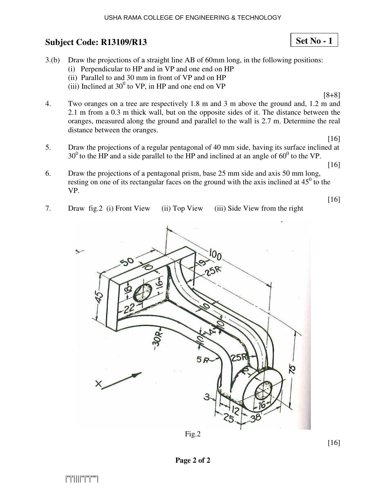#### USHA RAMA COLLEGE OF ENGINEERING & TECHNOLOGY

# **Subject Code: R13109/R13 13**

|''|'||||''|''|''''|

- 3.(b) Draw the projections of a straight line AB of 60mm long, in the following positions:
	- (i) Perpendicular to HP and in VP and one end on HP
- (ii) Parallel to and 30 mm m in front of VP and on HP
- (iii) Inclined at  $30^0$  to VP, in HP and one end on VP
- 4. Two oranges on a tree are respectively 1.8 m and 3 m above the ground and, 1.2 m and 2.1 m from a 0.3 m thick wall, but on the opposite sides of it. The distance between the oranges, measured along the ground and parallel to the wall is 2.7 m. Determine the real distance between the oranges. [8+8]
- 5. Draw the projections of a regular pentagonal of 40 mm side, having its surface inclined at  $30^0$  to the HP and a side parallel to the HP and inclined at an angle of  $60^0$  to the VP.
	- [16]

[16]

[16]

- 6. Draw the projections of a pentagonal prism, base 25 mm side and axis 50 mm long, resting on one of its rectangular faces on the ground with the axis inclined at  $45^{\circ}$  to the VP.
- 7. Draw fig.2 (i) Front View iew (ii) Top View (iii) Side View from the right



**Page 2 of 2** 

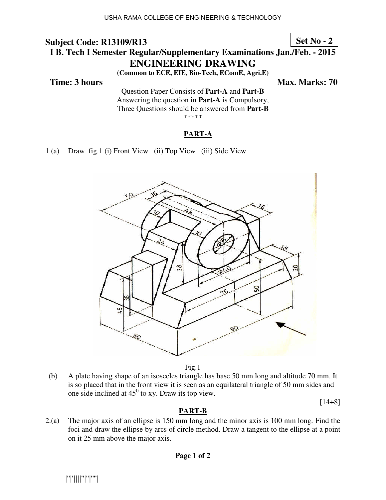**Set No - 2**

# **I B. Tech I Semester Regular/Supplementary Examinations Jan./Feb. - 2015 ENG NGINEERING DRAWING**

**(Common on to ECE, EIE, Bio-Tech, EComE, Agri.E)** 

#### **Time: 3 hours**

*Ma* **ax. Marks: 70**

Questio tion Paper Consists of **Part-A** and **Part-B** Answering the question in **Part-A** is Compulsory, Three Questions should be answered from Part-B \*\*\*\*\*

## **PART-A**

1.(a) Draw fig.1 (i) Front View (ii) Top View (iii) Side View



Fig.1

(b) A plate having shape of an isosceles triangle has base 50 mm long and altitude 70 mm. It is so placed that in the front view it is seen as an equilateral triangle of 50 mm sides and one side inclined at  $45^{\circ}$  to xy. Draw its top view.

[14+8]

## **PART-B**

 $2.(a)$  The major axis of an ellipse is 150 mm long and the minor axis is 100 mm long. Find the foci and draw the ellipse by arcs of circle method. Draw a tangent to the ellipse at a point on it 25 mm above the major axis.

**Page 1 of 2** 

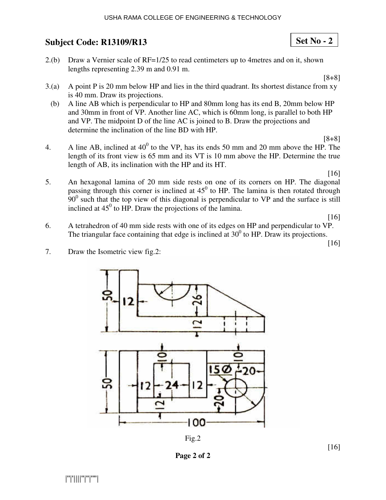- $2.(b)$  Draw a Vernier scale of RF=1/25 to read centimeters up to 4 metres and on it, shown lengths representing 2.39 m and 0.91 m.
- $3(a)$  A point P is 20 mm below HP and lies in the third quadrant. Its shortest distance from xy is 40 mm. Draw its projections.
- (b) A line AB which is perpendicular to HP and 80mm long has its end B, 20mm below HP and 30mm in front of VP. Another line AC, which is 60mm long, is parallel to both HP and VP. The midpoint D of the line AC is joined to B. Draw the projections and determine the inclination of the line BD with HP.
- 4. A line AB, inclined at  $40^0$  to the VP, has its ends 50 mm and 20 mm above the HP. The length of its front view is 65 mm and its VT is 10 mm above the HP. Determine the true length of AB, its inclination with the HP and its HT. [8+8]
- 5. An hexagonal lamina of 20 mm side rests on one of its corners on HP. The diagonal passing through this corner is inclined at  $45^{\circ}$  to HP. The lamina is then rotated through  $90<sup>0</sup>$  such that the top view of this diagonal is perpendicular to VP and the surface is still inclined at  $45^{\circ}$  to HP. Draw the projections of the lamina. [16]

[16]

6. A tetrahedron of 40 mm side rests with one of its edges on HP and perpendicular to VP. The triangular face containing that edge is inclined at  $30^0$  to HP. Draw its projections.

[16]

[16]

5 20 12  $100$ 



**Page 2 of 2** 

7. Draw the Isometric view fig.2:

**Set No - 2**

[8+8]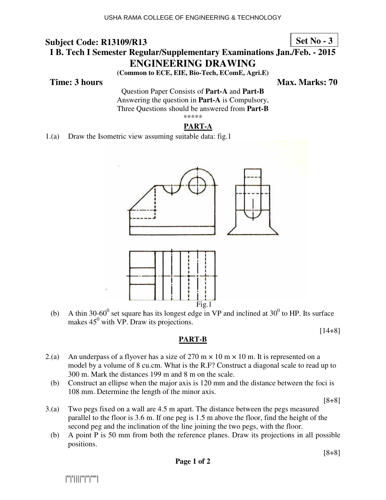**Set No - 3**

# **I B. Tech I Semester Regular/Supplementary Examinations Jan./Feb. - 2015 ENG NGINEERING DRAWING**

**(Common on to ECE, EIE, Bio-Tech, EComE, Agri.E)** 

## **Time: 3 hours**

*Ma* **ax. Marks: 70**

Questio tion Paper Consists of **Part-A** and **Part-B** Answering the question in **Part-A** is Compulsory, Three Questions should be answered from Part-B \*\*\*\*\*

## **PART-A**

1.(a) Draw the Isometric view assuming suitable data: fig.1



(b) A thin 30-60<sup>0</sup> set square has its longest edge in VP and inclined at  $30^0$  to HP. Its surface makes  $45^{\circ}$  with VP. Draw its projections.

[14+8]

## **PART-B**

- 2.(a) An underpass of a flyover has a size of 270 m  $\times$  10 m  $\times$  10 m. It is represented on a model by a volume of 8 cu.cm. What is the R.F? Construct a diagonal scale to read up to 300 m. Mark the distances 199 m and 8 m on the scale.
	- (b) Construct an ellipse when the major axis is 120 mm and the distance between the foci is 108 mm. Determine the length of the minor axis.

[8+8]

- 3.(a) Two pegs fixed on a wall are 4.5 m apart. The distance between the pegs measured parallel to the floor is 3.6 m. If one peg is 1.5 m above the floor, find the height of the second peg and the inclination of the line joining the two pegs, with the floor.
	- (b) A point P is 50 mm from both the reference planes. Draw its projections in all possible positions.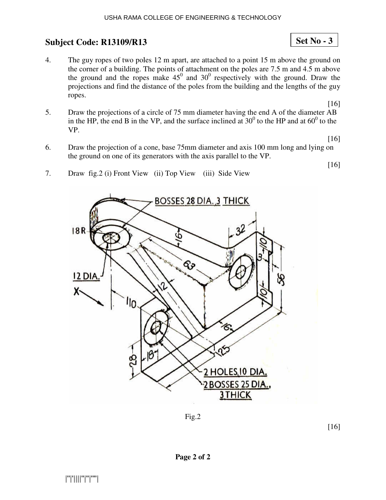4. The guy ropes of two poles 12 m apart, are attached to a point 15 m above the ground on the corner of a building. The points of attachment on the poles are  $7.5 \text{ m}$  and  $4.5 \text{ m}$  above the ground and the ropes make  $45^{\circ}$  and  $30^{\circ}$  respectively with the ground. Draw the projections and find the distance of the poles from the building and the lengths of the guy ropes.

[16]

**Set No - 3**

5. Draw the projections of a circle of 75 mm diameter having the end A of the diameter AB in the HP, the end B in the VP, and the surface inclined at  $30^0$  to the HP and at  $60^0$  to the VP.

[16]

[16]

- 6. Draw the projection of a cone, base 75mm diameter and axis 100 mm long and lying on the ground on one of its generators with the axis parallel to the VP.
- 7. Draw fig.2 (i) Front View (ii) Top View (iii) Side View



Fig.2

[16]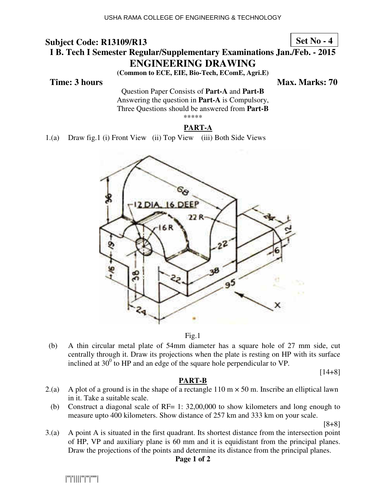**Set No - 4**

# **I B. Tech I Semester Regular/Supplementary Examinations Jan./Feb. - 2015 ENG NGINEERING DRAWING**

**(Common on to ECE, EIE, Bio-Tech, EComE, Agri.E)** 

## **Time: 3 hours**

*Ma* **Max. Marks: 70** 

Questio tion Paper Consists of **Part-A** and **Part-B** Answering the question in **Part-A** is Compulsory, Three Questions should be answered from Part-B \*\*\*\*\*

## **PART-A**

1.(a) Draw fig.1 (i) Front View (ii) Top View (iii) Both Side Views



Fig.1

(b) A thin circular metal plate of 54mm diameter has a square hole of 27 mm side, cut centrally through it. Draw its projections when the plate is resting on HP with its surface inclined at  $30^{\circ}$  to HP and an edge of the square hole perpendicular to VP.

 $[14+8]$ 

#### **PART-B**

- 2.(a) A plot of a ground is in the shape of a rectangle  $110 \text{ m} \times 50 \text{ m}$ . Inscribe an elliptical lawn in it. Take a suitable scale.
- (b) Construct a diagonal scale of RF=  $1: 32,00,000$  to show kilometers and long enough to measure upto 400 kilometers. Show distance of 257 km and 333 km on your scale.

[8+8]

3.(a) A point A is situated in the first quadrant. Its shortest distance from the intersection point of HP, VP and auxiliary plane is 60 mm and it is equidistant from the principal planes. Draw the projections of the points and determine its distance from the principal planes.